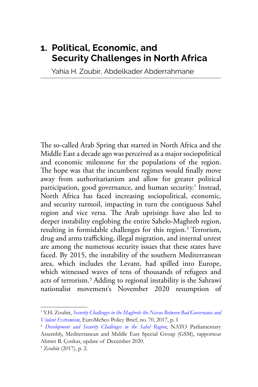# **1. Political, Economic, and Security Challenges in North Africa**

Yahia H. Zoubir, Abdelkader Abderrahmane

The so-called Arab Spring that started in North Africa and the Middle East a decade ago was perceived as a major sociopolitical and economic milestone for the populations of the region. The hope was that the incumbent regimes would finally move away from authoritarianism and allow for greater political participation, good governance, and human security.<sup>1</sup> Instead, North Africa has faced increasing sociopolitical, economic, and security turmoil, impacting in turn the contiguous Sahel region and vice versa. The Arab uprisings have also led to deeper instability englobing the entire Sahelo-Maghreb region, resulting in formidable challenges for this region.<sup>2</sup> Terrorism, drug and arms trafficking, illegal migration, and internal unrest are among the numerous security issues that these states have faced. By 2015, the instability of the southern Mediterranean area, which includes the Levant, had spilled into Europe, which witnessed waves of tens of thousands of refugees and acts of terrorism.3 Adding to regional instability is the Sahrawi nationalist movement's November 2020 resumption of

<sup>&</sup>lt;sup>1</sup> Y.H. Zoubir, *[Security Challenges in the Maghreb: the Nexus Between Bad Governance and](https://www.euromesco.net/wp-content/uploads/2017/10/201702-EuroMeSCo-Policy-Brief-70.pdf.) [Violent Extremism](https://www.euromesco.net/wp-content/uploads/2017/10/201702-EuroMeSCo-Policy-Brief-70.pdf.)*, EuroMeSco Policy Brief, no. 70, 2017, p. 1

<sup>2</sup> *[Development and Security Challenges in the Sahel Region](https://www.nato-pa.int/download-file?filename=/sites/default/files/2021-02/042%20GSM%2020%20E%20rev%202%20fin%20%20-%20DEVELOPMENT%20AND%20SECURITY%20CHALLENGES%20IN%20THE%20SAHEL%20REGION_0.pdf.)*, NATO Parliamentary Assembly, Mediterranean and Middle East Special Group (GSM), rapporteur Ahmet B. Çonkar, update of December 2020.

<sup>3</sup> Zoubir (2017), p. 2.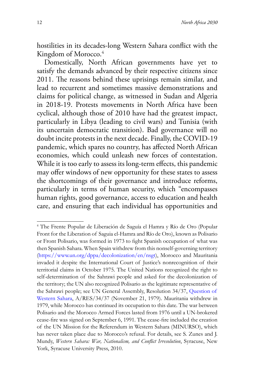hostilities in its decades-long Western Sahara conflict with the Kingdom of Morocco.<sup>4</sup>

Domestically, North African governments have yet to satisfy the demands advanced by their respective citizens since 2011. The reasons behind these uprisings remain similar, and lead to recurrent and sometimes massive demonstrations and claims for political change, as witnessed in Sudan and Algeria in 2018-19. Protests movements in North Africa have been cyclical, although those of 2010 have had the greatest impact, particularly in Libya (leading to civil wars) and Tunisia (with its uncertain democratic transition). Bad governance will no doubt incite protests in the next decade. Finally, the COVID-19 pandemic, which spares no country, has affected North African economies, which could unleash new forces of contestation. While it is too early to assess its long-term effects, this pandemic may offer windows of new opportunity for these states to assess the shortcomings of their governance and introduce reforms, particularly in terms of human security, which "encompasses human rights, good governance, access to education and health care, and ensuring that each individual has opportunities and

<sup>4</sup> The Frente Popular de Liberación de Saguía el Hamra y Río de Oro (Popular Front for the Liberation of Saguia el-Hamra and Río de Oro), known as Polisario or Front Polisario, was formed in 1973 to fight Spanish occupation of what was then Spanish Sahara. When Spain withdrew from this nonself-governing territory [\(https://www.un.org/dppa/decolonization/en/nsgt](https://www.un.org/dppa/decolonization/en/nsgt)), Morocco and Mauritania invaded it despite the International Court of Justice's nonrecognition of their territorial claims in October 1975. The United Nations recognized the right to self-determination of the Sahrawi people and asked for the decolonization of the territory; the UN also recognized Polisario as the legitimate representative of the Sahrawi people; see UN General Assembly, Resolution 34/37, [Question of](https://www.securitycouncilreport.org/atf/cf/%7B65BFCF9B-6D27-4E9C-8CD3-CF6E4FF96FF9%7D/A_RES_34_37.pdf) [Western Sahara,](https://www.securitycouncilreport.org/atf/cf/%7B65BFCF9B-6D27-4E9C-8CD3-CF6E4FF96FF9%7D/A_RES_34_37.pdf) A/RES/34/37 (November 21, 1979). Mauritania withdrew in 1979, while Morocco has continued its occupation to this date. The war between Polisario and the Morocco Armed Forces lasted from 1976 until a UN-brokered cease-fire was signed on September 6, 1991. The cease-fire included the creation of the UN Mission for the Referendum in Western Sahara (MINURSO), which has never taken place due to Morocco's refusal. For details, see S. Zunes and J. Mundy, *Western Sahara: War, Nationalism, and Conflict Irresolution*, Syracuse, New York, Syracuse University Press, 2010.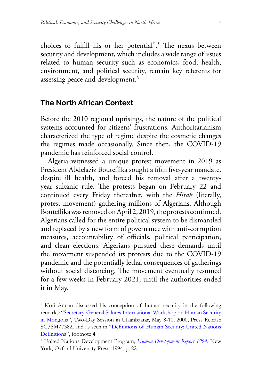choices to fulfill his or her potential".5 The nexus between security and development, which includes a wide range of issues related to human security such as economics, food, health, environment, and political security, remain key referents for assessing peace and development.<sup>6</sup>

### **The North African Context**

Before the 2010 regional uprisings, the nature of the political systems accounted for citizens' frustrations. Authoritarianism characterized the type of regime despite the cosmetic changes the regimes made occasionally. Since then, the COVID-19 pandemic has reinforced social control.

Algeria witnessed a unique protest movement in 2019 as President Abdelaziz Bouteflika sought a fifth five-year mandate, despite ill health, and forced his removal after a twentyyear sultanic rule. The protests began on February 22 and continued every Friday thereafter, with the *Hirak* (literally, protest movement) gathering millions of Algerians. Although Bouteflika was removed on April 2, 2019, the protests continued. Algerians called for the entire political system to be dismantled and replaced by a new form of governance with anti-corruption measures, accountability of officials, political participation, and clean elections. Algerians pursued these demands until the movement suspended its protests due to the COVID-19 pandemic and the potentially lethal consequences of gatherings without social distancing. The movement eventually resumed for a few weeks in February 2021, until the authorities ended it in May.

<sup>&</sup>lt;sup>5</sup> Kofi Annan discussed his conception of human security in the following remarks: ["Secretary-General Salutes International Workshop on Human Security](file:https://www.un.org/press/en/2000/20000508.sgsm7382.doc.html) [in Mongolia](file:https://www.un.org/press/en/2000/20000508.sgsm7382.doc.html)", Two-Day Session in Ulaanbaatar, May 8-10, 2000, Press Release SG/SM/7382, and as seen in "[Definitions of Human Security: United Nations](https://gdrc.org/sustdev/husec/Definitions.pdf.) [Definitions](https://gdrc.org/sustdev/husec/Definitions.pdf.)", footnote 4.

<sup>6</sup> United Nations Development Program, *[Human Development Report 1994](http://hdr.undp.org/sites/default/files/reports/255/hdr_1994_en_complete_nostats.pdf.)*, New York, Oxford University Press, 1994, p. 22.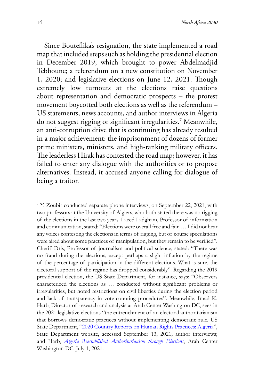Since Bouteflika's resignation, the state implemented a road map that included steps such as holding the presidential election in December 2019, which brought to power Abdelmadjid Tebboune; a referendum on a new constitution on November 1, 2020; and legislative elections on June 12, 2021. Though extremely low turnouts at the elections raise questions about representation and democratic prospects – the protest movement boycotted both elections as well as the referendum – US statements, news accounts, and author interviews in Algeria do not suggest rigging or significant irregularities.7 Meanwhile, an anti-corruption drive that is continuing has already resulted in a major achievement: the imprisonment of dozens of former prime ministers, ministers, and high-ranking military officers. The leaderless Hirak has contested the road map; however, it has failed to enter any dialogue with the authorities or to propose alternatives. Instead, it accused anyone calling for dialogue of being a traitor.

<sup>7</sup> Y. Zoubir conducted separate phone interviews, on September 22, 2021, with two professors at the University of Algiers, who both stated there was no rigging of the elections in the last two years. Laeed Ladgham, Professor of information and communication, stated: "Elections were overall free and fair. … I did not hear any voices contesting the elections in terms of rigging, but of course speculations were aired about some practices of manipulation, but they remain to be verified". Cherif Dris, Professor of journalism and political science, stated: "There was no fraud during the elections, except perhaps a slight inflation by the regime of the percentage of participation in the different elections. What is sure, the electoral support of the regime has dropped considerably". Regarding the 2019 presidential election, the US State Department, for instance, says: "Observers characterized the elections as … conducted without significant problems or irregularities, but noted restrictions on civil liberties during the election period and lack of transparency in vote-counting procedures". Meanwhile, Imad K. Harb, Director of research and analysis at Arab Center Washington DC, sees in the 2021 legislative elections "the entrenchment of an electoral authoritarianism that borrows democratic practices without implementing democratic rule. US State Department, ["2020 Country Reports on Human Rights Practices: Algeria](https://www.state.gov/reports/2020-country-reports-on-human-rights-practices/algeria/)", State Department website, accessed September 13, 2021; author interviews; and Harb, *[Algeria Reestablished Authoritarianism through Elections](https://arabcenterdc.org/resource/algeria-reestablishes-authoritarianism-through-elections/)*, Arab Center Washington DC, July 1, 2021.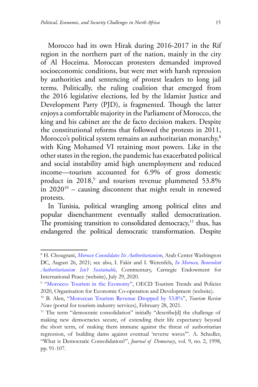Morocco had its own Hirak during 2016-2017 in the Rif region in the northern part of the nation, mainly in the city of Al Hoceima. Moroccan protesters demanded improved socioeconomic conditions, but were met with harsh repression by authorities and sentencing of protest leaders to long jail terms. Politically, the ruling coalition that emerged from the 2016 legislative elections, led by the Islamist Justice and Development Party (PJD), is fragmented. Though the latter enjoys a comfortable majority in the Parliament of Morocco, the king and his cabinet are the de facto decision makers. Despite the constitutional reforms that followed the protests in 2011, Morocco's political system remains an authoritarian monarchy,<sup>8</sup> with King Mohamed VI retaining most powers. Like in the other states in the region, the pandemic has exacerbated political and social instability amid high unemployment and reduced income—tourism accounted for 6.9% of gross domestic product in 2018,<sup>9</sup> and tourism revenue plummeted 53.8% in  $2020^{10}$  – causing discontent that might result in renewed protests.

In Tunisia, political wrangling among political elites and popular disenchantment eventually stalled democratization. The promising transition to consolidated democracy, $11$  thus, has endangered the political democratic transformation. Despite

<sup>8</sup> H. Chougrani, *[Morocco Consolidates Its Authoritarianism](https://arabcenterdc.org/resource/morocco-consolidates-its-authoritarianism/)*, Arab Center Washington DC, August 26, 2021; see also, I. Fakir and I. Werenfels, *[In Morocco, Benevolent](https://carnegieendowment.org/2020/07/29/in-morocco-benevolent-authoritarianism-isn-t-sustainable-pub-82395) [Authoritarianism Isn't Sustainable](https://carnegieendowment.org/2020/07/29/in-morocco-benevolent-authoritarianism-isn-t-sustainable-pub-82395)*, Commentary, Carnegie Endowment for International Peace (website), July 29, 2020.

<sup>&</sup>lt;sup>9</sup> ["Morocco: Tourism in the Economy"](https://www.oecd-ilibrary.org/sites/409d3fd2-en/index.html?itemId=/content/component/409d3fd2-en.), OECD Tourism Trends and Policies 2020, Organisation for Economic Co-operation and Development (website).

<sup>10</sup> B. Alen, ["Moroccan Tourism Revenue Dropped by 53.8%](https://www.tourism-review.com/tourism-revenue-of-morocco-decreased-by-half-news11908)", *Tourism Review News* (portal for tourism industry services), February 28, 2021.

<sup>&</sup>lt;sup>11</sup> The term "democratic consolidation" initially "describe[d] the challenge of making new democracies secure, of extending their life expectancy beyond the short term, of making them immune against the threat of authoritarian regression, of building dams against eventual 'reverse waves'". A. Schedler, "What is Democratic Consolidation?", *Journal of Democracy*, vol. 9, no. 2, 1998, pp. 91-107.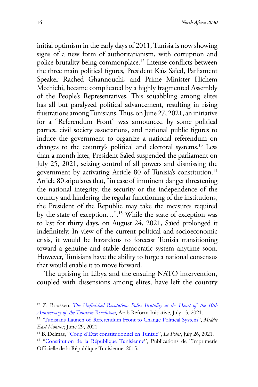initial optimism in the early days of 2011, Tunisia is now showing signs of a new form of authoritarianism, with corruption and police brutality being commonplace.12 Intense conflicts between the three main political figures, President Kaïs Saïed, Parliament Speaker Rached Ghannouchi, and Prime Minister Hichem Mechichi, became complicated by a highly fragmented Assembly of the People's Representatives. This squabbling among elites has all but paralyzed political advancement, resulting in rising frustrations among Tunisians. Thus, on June 27, 2021, an initiative for a "Referendum Front" was announced by some political parties, civil society associations, and national public figures to induce the government to organize a national referendum on changes to the country's political and electoral systems.13 Less than a month later, President Saïed suspended the parliament on July 25, 2021, seizing control of all powers and dismissing the government by activating Article 80 of Tunisia's constitution.<sup>14</sup> Article 80 stipulates that, "in case of imminent danger threatening the national integrity, the security or the independence of the country and hindering the regular functioning of the institutions, the President of the Republic may take the measures required by the state of exception…".15 While the state of exception was to last for thirty days, on August 24, 2021, Saïed prolonged it indefinitely. In view of the current political and socioeconomic crisis, it would be hazardous to forecast Tunisia transitioning toward a genuine and stable democratic system anytime soon. However, Tunisians have the ability to forge a national consensus that would enable it to move forward.

The uprising in Libya and the ensuing NATO intervention, coupled with dissensions among elites, have left the country

<sup>12</sup> Z. Boussen, *[The Unfinished Revolution: Police Brutality at the Heart of the 10](https://www.arab-reform.net/publication/the-unfinished-revolution-police-brutality-at-the-heart-of-the-10th-anniversary-of-the-tunisian-revolution/)th [Anniversary of the Tunisian Revolution](https://www.arab-reform.net/publication/the-unfinished-revolution-police-brutality-at-the-heart-of-the-10th-anniversary-of-the-tunisian-revolution/)*, Arab Reform Initiative, July 13, 2021.

<sup>13</sup> ["Tunisians Launch of Referendum Front to Change Political System"](https://www.middleeastmonitor.com/20210629-tunisians-launch-of-referendum-front-to-change-political-system/), *Middle East Monitor*, June 29, 2021.

<sup>14</sup> B. Delmas, "[Coup d'État constitutionnel en Tunisie](https://www.lepoint.fr/afrique/coup-d-etat-constitutionnel-en-tunisie-26-07-2021-2436798_3826.php)", *Le Point*, July 26, 2021.

<sup>15 &</sup>quot;[Constitution de la République Tunisienne"](https://lib.ohchr.org/HRBodies/UPR/Documents/Session27/TN/6Annexe4Constitution_fr.pdf), Publications de l'Imprimerie Officielle de la République Tunisienne, 2015.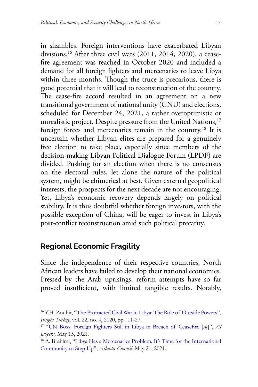in shambles. Foreign interventions have exacerbated Libyan divisions.16 After three civil wars (2011, 2014, 2020), a ceasefire agreement was reached in October 2020 and included a demand for all foreign fighters and mercenaries to leave Libya within three months. Though the truce is precarious, there is good potential that it will lead to reconstruction of the country. The cease-fire accord resulted in an agreement on a new transitional government of national unity (GNU) and elections, scheduled for December 24, 2021, a rather overoptimistic or unrealistic project. Despite pressure from the United Nations,<sup>17</sup> foreign forces and mercenaries remain in the country.18 It is uncertain whether Libyan elites are prepared for a genuinely free election to take place, especially since members of the decision-making Libyan Political Dialogue Forum (LPDF) are divided. Pushing for an election when there is no consensus on the electoral rules, let alone the nature of the political system, might be chimerical at best. Given external geopolitical interests, the prospects for the next decade are not encouraging. Yet, Libya's economic recovery depends largely on political stability. It is thus doubtful whether foreign investors, with the possible exception of China, will be eager to invest in Libya's post-conflict reconstruction amid such political precarity.

## **Regional Economic Fragility**

Since the independence of their respective countries, North African leaders have failed to develop their national economies. Pressed by the Arab uprisings, reform attempts have so far proved insufficient, with limited tangible results. Notably,

<sup>&</sup>lt;sup>16</sup> Y.H. Zoubir, ["The Protracted Civil War in Libya: The Role of Outside Powers](https://www.insightturkey.com/commentaries/the-protracted-civil-war-in-libya-the-role-of-outside-powers)", *Insight Turkey*, vol. 22, no. 4, 2020, pp. 11-27.

<sup>17 &</sup>quot;[UN Boss: Foreign Fighters Still in Libya in Breach of Ceasefire \[](https://www.aljazeera.com/news/2021/5/15/un-chief-foreign-fighters-in-libya-are-violating-ceasefire)*sic*]", *Al Jazeera,* May 15, 2021.

<sup>&</sup>lt;sup>18</sup> A. Brahimi, ["Libya Has a Mercenaries Problem. It's Time for the International](https://www.atlanticcouncil.org/blogs/menasource/libya-has-a-mercenaries-problem-its-time-for-the-international-community-to-step-up/) [Community to Step Up](https://www.atlanticcouncil.org/blogs/menasource/libya-has-a-mercenaries-problem-its-time-for-the-international-community-to-step-up/)", *Atlantic Council*, May 21, 2021.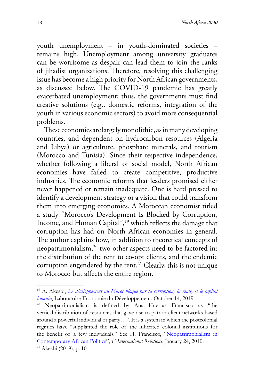youth unemployment – in youth-dominated societies – remains high. Unemployment among university graduates can be worrisome as despair can lead them to join the ranks of jihadist organizations. Therefore, resolving this challenging issue has become a high priority for North African governments, as discussed below. The COVID-19 pandemic has greatly exacerbated unemployment; thus, the governments must find creative solutions (e.g., domestic reforms, integration of the youth in various economic sectors) to avoid more consequential problems.

These economies are largely monolithic, as in many developing countries, and dependent on hydrocarbon resources (Algeria and Libya) or agriculture, phosphate minerals, and tourism (Morocco and Tunisia). Since their respective independence, whether following a liberal or social model, North African economies have failed to create competitive, productive industries. The economic reforms that leaders promised either never happened or remain inadequate. One is hard pressed to identify a development strategy or a vision that could transform them into emerging economies. A Moroccan economist titled a study "Morocco's Development Is Blocked by Corruption, Income, and Human Capital",19 which reflects the damage that corruption has had on North African economies in general. The author explains how, in addition to theoretical concepts of neopatrimonialism,<sup>20</sup> two other aspects need to be factored in: the distribution of the rent to co-opt clients, and the endemic corruption engendered by the rent.<sup>21</sup> Clearly, this is not unique to Morocco but affects the entire region.

<sup>19</sup> A. Akesbi, *[Le développement au Maroc bloqué par la corruption, la rente, et le capital](http://www.ledmaroc.ma/pages/documents/fs_akesbi_14_10_19.pdf) [humain](http://www.ledmaroc.ma/pages/documents/fs_akesbi_14_10_19.pdf)*, Laboratoire Economie du Développement, October 14, 2019.

<sup>20</sup> Neopatrimonialism is defined by Ana Huertas Francisco as "the vertical distribution of resources that gave rise to patron-client networks based around a powerful individual or party…". It is a system in which the postcolonial regimes have "supplanted the role of the inherited colonial institutions for the benefit of a few individuals." See H. Francisco, "[Neopatrimonialism in](https://www.e-ir.info/pdf/3045.) [Contemporary African Politics](https://www.e-ir.info/pdf/3045.)", *E-International Relations*, January 24, 2010.  $21$  Akesbi (2019), p. 10.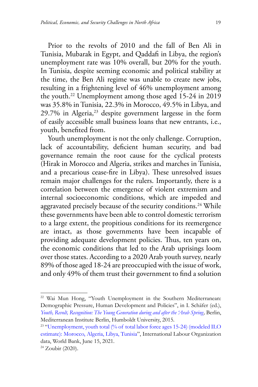Prior to the revolts of 2010 and the fall of Ben Ali in Tunisia, Mubarak in Egypt, and Qaddafi in Libya, the region's unemployment rate was 10% overall, but 20% for the youth. In Tunisia, despite seeming economic and political stability at the time, the Ben Ali regime was unable to create new jobs, resulting in a frightening level of 46% unemployment among the youth.22 Unemployment among those aged 15-24 in 2019 was 35.8% in Tunisia, 22.3% in Morocco, 49.5% in Libya, and  $29.7\%$  in Algeria,<sup>23</sup> despite government largesse in the form of easily accessible small business loans that new entrants, i.e., youth, benefited from.

Youth unemployment is not the only challenge. Corruption, lack of accountability, deficient human security, and bad governance remain the root cause for the cyclical protests (Hirak in Morocco and Algeria, strikes and marches in Tunisia, and a precarious cease-fire in Libya). These unresolved issues remain major challenges for the rulers. Importantly, there is a correlation between the emergence of violent extremism and internal socioeconomic conditions, which are impeded and aggravated precisely because of the security conditions.<sup>24</sup> While these governments have been able to control domestic terrorism to a large extent, the propitious conditions for its reemergence are intact, as those governments have been incapable of providing adequate development policies. Thus, ten years on, the economic conditions that led to the Arab uprisings loom over those states. According to a 2020 Arab youth survey, nearly 89% of those aged 18-24 are preoccupied with the issue of work, and only 49% of them trust their government to find a solution

<sup>22</sup> Wai Mun Hong, "Youth Unemployment in the Southern Mediterranean: Demographic Pressure, Human Development and Policies", in I. Schäfer (ed.), *[Youth, Revolt, Recognition: The Young Generation during and after the 'Arab Spring](http://edoc.hu-berlin.de/miscellanies/arabspring-41600/80/PDF/80.pdf.),* Berlin, Mediterranean Institute Berlin, Humboldt University, 2015.

<sup>&</sup>lt;sup>23</sup> ["Unemployment, youth total \(% of total labor force ages 15-24\) \(modeled ILO](https://data.worldbank.org/indicator/SL.UEM.1524.ZS?locations=MA-DZ-LY.) [estimate\): Morocco, Algeria, Libya, Tunisia"](https://data.worldbank.org/indicator/SL.UEM.1524.ZS?locations=MA-DZ-LY.), International Labour Organization data, World Bank, June 15, 2021.

<sup>24</sup> Zoubir (2020).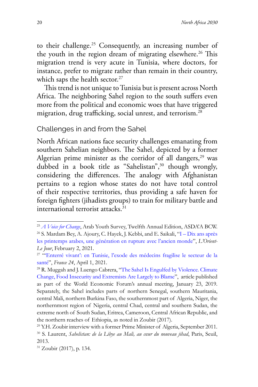to their challenge.<sup>25</sup> Consequently, an increasing number of the youth in the region dream of migrating elsewhere.<sup>26</sup> This migration trend is very acute in Tunisia, where doctors, for instance, prefer to migrate rather than remain in their country, which saps the health sector.<sup>27</sup>

This trend is not unique to Tunisia but is present across North Africa. The neighboring Sahel region to the south suffers even more from the political and economic woes that have triggered migration, drug trafficking, social unrest, and terrorism.<sup>28</sup>

#### Challenges in and from the Sahel

North African nations face security challenges emanating from southern Sahelian neighbors. The Sahel, depicted by a former Algerian prime minister as the corridor of all dangers, $29$  was dubbed in a book title as "Sahelistan",<sup>30</sup> though wrongly, considering the differences. The analogy with Afghanistan pertains to a region whose states do not have total control of their respective territories, thus providing a safe haven for foreign fighters (jihadists groups) to train for military battle and international terrorist attacks<sup>31</sup>

<sup>25</sup> *[A Voice for Change](https://www.arabyouthsurvey.com/pdf/downloadwhitepaper/AYS%202020-WP_ENG_0510_Single-Final.pdf)*, Arab Youth Survey, Twelfth Annual Edition, ASDA'A BCW. <sup>26</sup> S. Mardam Bey, A. Ajoury, C. Hayek, J. Kebbi, and E. Saikali,  $T - \text{Dir}$  ans après [les printemps arabes, une génération en rupture avec l'ancien monde"](https://www.lorientlejour.com/article/1250372/i-dix-ans-apres-les-printemps-arabes-une-generation-en-rupture-avec-lancien-monde.html.), *L'Orient-Le Jour*, February 2, 2021.

<sup>&</sup>lt;sup>27</sup> "['Enterré vivant': en Tunisie, l'exode des médecins fragilise le secteur de la](https://www.france24.com/fr/info-en-continu/20210401-enterr%C3%A9-vivant-en-tunisie-l-exode-des-m%C3%A9decins-fragilise-le-secteur-de-la-sant%C3%A9) [santé"](https://www.france24.com/fr/info-en-continu/20210401-enterr%C3%A9-vivant-en-tunisie-l-exode-des-m%C3%A9decins-fragilise-le-secteur-de-la-sant%C3%A9), *France 24*, April 1, 2021.

<sup>&</sup>lt;sup>28</sup> R. Muggah and J. Luengo Cabrera, "[The Sahel Is Engulfed by Violence. Climate](https://www.weforum.org/agenda/2019/01/all-the-warning-signs-are-showing-in-the-sahel-we-must-act-now/) [Change, Food Insecurity and Extremists Are Largely to Blame"](https://www.weforum.org/agenda/2019/01/all-the-warning-signs-are-showing-in-the-sahel-we-must-act-now/), article published as part of the World Economic Forum's annual meeting, January 23, 2019. Separately, the Sahel includes parts of northern Senegal, southern Mauritania, central Mali, northern Burkina Faso, the southernmost part of Algeria, Niger, the northernmost region of Nigeria, central Chad, central and southern Sudan, the extreme north of South Sudan, Eritrea, Cameroon, Central African Republic, and the northern reaches of Ethiopia, as noted in Zoubir (2017).

<sup>&</sup>lt;sup>29</sup> Y.H. Zoubir interview with a former Prime Minister of Algeria, September 2011. 30 S. Laurent, *Sahelistan: de la Libye au Mali, au cœur du nouveau jihad*, Paris, Seuil, 2013.

<sup>31</sup> Zoubir (2017), p. 134.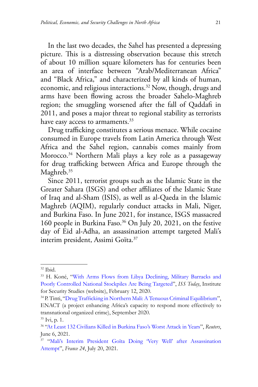In the last two decades, the Sahel has presented a depressing picture. This is a distressing observation because this stretch of about 10 million square kilometers has for centuries been an area of interface between "Arab/Mediterranean Africa" and "Black Africa," and characterized by all kinds of human, economic, and religious interactions.32 Now, though, drugs and arms have been flowing across the broader Sahelo-Maghreb region; the smuggling worsened after the fall of Qaddafi in 2011, and poses a major threat to regional stability as terrorists have easy access to armaments.<sup>33</sup>

Drug trafficking constitutes a serious menace. While cocaine consumed in Europe travels from Latin America through West Africa and the Sahel region, cannabis comes mainly from Morocco.34 Northern Mali plays a key role as a passageway for drug trafficking between Africa and Europe through the Maghreb.<sup>35</sup>

Since 2011, terrorist groups such as the Islamic State in the Greater Sahara (ISGS) and other affiliates of the Islamic State of Iraq and al-Sham (ISIS), as well as al-Qaeda in the Islamic Maghreb (AQIM), regularly conduct attacks in Mali, Niger, and Burkina Faso. In June 2021, for instance, ISGS massacred 160 people in Burkina Faso.<sup>36</sup> On July 20, 2021, on the festive day of Eid al-Adha, an assassination attempt targeted Mali's interim president, Assimi Goïta.37

<sup>32</sup> Ibid.

<sup>33</sup> H. Koné, ["With Arms Flows from Libya Declining, Military Barracks and](https://issafrica.org/iss-today/where-do-sahel-terrorists-get-their-heavy-weapons.) [Poorly Controlled National Stockpiles Are Being Targeted"](https://issafrica.org/iss-today/where-do-sahel-terrorists-get-their-heavy-weapons.), *ISS Today*, Institute for Security Studies (website), February 12, 2020.

<sup>34</sup> P. Tinti, "[Drug Trafficking in Northern Mali: A Tenuous Criminal Equilibrium](https://enact-africa.s3.amazonaws.com/site/uploads/2020-09-17-mali-drugs-research-paper.pdf.)", ENACT (a project enhancing Africa's capacity to respond more effectively to transnational organized crime), September 2020.

 $35 \text{Ivi}, \text{p. 1}.$ 

<sup>36</sup> ["At Least 132 Civilians Killed in Burkina Faso's Worst Attack in Years"](https://www.reuters.com/world/africa/armed-attackers-kill-100-civilians-burkina-faso-village-raid-2021-06-05/), *Reuters*, June 6, 2021.

<sup>37 &</sup>quot;[Mali's Interim President Goïta Doing 'Very Well' after Assassination](https://www.france24.com/en/live-news/20210720-mali-s-interim-president-goita-targeted-in-knife-attack-at-bamako-mosque.) [Attempt"](https://www.france24.com/en/live-news/20210720-mali-s-interim-president-goita-targeted-in-knife-attack-at-bamako-mosque.), *France 24*, July 20, 2021.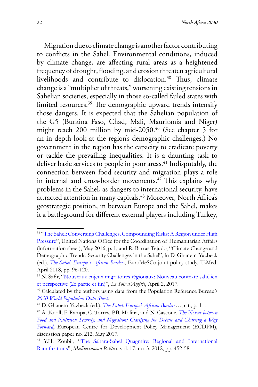Migration due to climate change is another factor contributing to conflicts in the Sahel. Environmental conditions, induced by climate change, are affecting rural areas as a heightened frequency of drought, flooding, and erosion threaten agricultural livelihoods and contribute to dislocation.<sup>38</sup> Thus, climate change is a "multiplier of threats," worsening existing tensions in Sahelian societies, especially in those so-called failed states with limited resources.<sup>39</sup> The demographic upward trends intensify those dangers. It is expected that the Sahelian population of the G5 (Burkina Faso, Chad, Mali, Mauritania and Niger) might reach 200 million by mid-2050.<sup>40</sup> (See chapter 5 for an in-depth look at the region's demographic challenges.) No government in the region has the capacity to eradicate poverty or tackle the prevailing inequalities. It is a daunting task to deliver basic services to people in poor areas.<sup>41</sup> Indisputably, the connection between food security and migration plays a role in internal and cross-border movements.42 This explains why problems in the Sahel, as dangers to international security, have attracted attention in many capitals.<sup>43</sup> Moreover, North Africa's geostrategic position, in between Europe and the Sahel, makes it a battleground for different external players including Turkey,

<sup>38</sup> ["The Sahel: Converging Challenges, Compounding Risks: A Region under High](http://reliefweb.int/sites/reliefweb.int/files/resources/sahel_info_sheet_052016.pdf) [Pressure](http://reliefweb.int/sites/reliefweb.int/files/resources/sahel_info_sheet_052016.pdf)", United Nations Office for the Coordination of Humanitarian Affairs (information sheet), May 2016, p. 1; and R. Barras Tejudo, "Climate Change and Demographic Trends: Security Challenges in the Sahel", in D. Ghanem-Yazbeck (ed.), *[The Sahel: Europe´s African Borders](https://www.euromesco.net/wp-content/uploads/2018/03/EuroMeSCo-Joint-Policy-Study-8_The_Sahel_Europe_African_Border.pdf.)*, EuroMeSCo joint policy study, IEMed, April 2018, pp. 96-120.

<sup>39</sup> N. Safir, "[Nouveaux enjeux migratoires régionaux: Nouveau contexte sahélien](http://www.lesoirdalgerie.com/articles/2017/04/02/article.php?sid=211608&cid=41) [et perspective \(2e partie et fin\)](http://www.lesoirdalgerie.com/articles/2017/04/02/article.php?sid=211608&cid=41)", *Le Soir d'Algérie*, April 2, 2017.

<sup>40</sup> Calculated by the authors using data from the Population Reference Bureau's *[2020 World Population Data Sheet](https://www.prb.org/wp-content/uploads/2020/07/letter-booklet-2020-world-population.pdf.)*.

<sup>41</sup> D. Ghanem-Yazbeck (ed.), *[The Sahel: Europe's African Borders](https://www.euromesco.net/wp-content/uploads/2018/03/EuroMeSCo-Joint-Policy-Study-8_The_Sahel_Europe_African_Border.pdf.)*…, cit., p. 11.

<sup>42</sup> A. Knoll, F. Rampa, C. Torres, P.B. Molina, and N. Cascone, *[The Nexus between](https://ecdpm.org/wp-content/uploads/DP212-Food-Nutrition-Security-Migration-May-2017.pdf.) [Food and Nutrition Security, and Migration: Clarifying the Debate and Charting a Way](https://ecdpm.org/wp-content/uploads/DP212-Food-Nutrition-Security-Migration-May-2017.pdf.) [Forward](https://ecdpm.org/wp-content/uploads/DP212-Food-Nutrition-Security-Migration-May-2017.pdf.)*, European Centre for Development Policy Management (ECDPM), discussion paper no. 212, May 2017.

<sup>43</sup> Y.H. Zoubir, ["The Sahara-Sahel Quagmire: Regional and International](https://doi.org/10.1080/13629395.2012.725307) [Ramifications](https://doi.org/10.1080/13629395.2012.725307)", *Mediterranean Politics*, vol. 17, no. 3, 2012, pp. 452-58.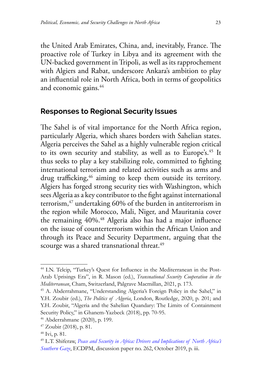the United Arab Emirates, China, and, inevitably, France. The proactive role of Turkey in Libya and its agreement with the UN-backed government in Tripoli, as well as its rapprochement with Algiers and Rabat, underscore Ankara's ambition to play an influential role in North Africa, both in terms of geopolitics and economic gains.44

# **Responses to Regional Security Issues**

The Sahel is of vital importance for the North Africa region, particularly Algeria, which shares borders with Sahelian states. Algeria perceives the Sahel as a highly vulnerable region critical to its own security and stability, as well as to Europe's.<sup>45</sup> It thus seeks to play a key stabilizing role, committed to fighting international terrorism and related activities such as arms and drug trafficking,<sup>46</sup> aiming to keep them outside its territory. Algiers has forged strong security ties with Washington, which sees Algeria as a key contributor to the fight against international terrorism,<sup>47</sup> undertaking 60% of the burden in antiterrorism in the region while Morocco, Mali, Niger, and Mauritania cover the remaining 40%.<sup>48</sup> Algeria also has had a major influence on the issue of counterterrorism within the African Union and through its Peace and Security Department, arguing that the scourge was a shared transnational threat.<sup>49</sup>

<sup>44</sup> I.N. Telcip, "Turkey's Quest for Influence in the Mediterranean in the Post-Arab Uprisings Era", in R. Mason (ed.), *Transnational Security Cooperation in the Mediterranean*, Cham, Switzerland, Palgrave Macmillan, 2021, p. 173.<br><sup>45</sup> A. Abderrahmane, "Understanding Algeria's Foreign Policy in the Sahel," in

Y.H. Zoubir (ed.), *The Politics of Algeria*, London, Routledge, 2020, p. 201; and Y.H. Zoubir, "Algeria and the Sahelian Quandary: The Limits of Containment Security Policy," in Ghanem-Yazbeck (2018), pp. 70-95.

<sup>46</sup> Abderrahmane (2020), p. 199.

<sup>47</sup> Zoubir (2018), p. 81.

<sup>48</sup> Ivi, p. 81.

<sup>49</sup> L.T. Shiferaw, *[Peace and Security in Africa: Drivers and Implications of North Africa's](https://ecdpm.org/wp-content/uploads/Peace-Security-Africa-Drivers-Implications-North-Africas-Southern-Gaze-ECDPM-Discussion-Paper-262.pdf.) [Southern Gaze](https://ecdpm.org/wp-content/uploads/Peace-Security-Africa-Drivers-Implications-North-Africas-Southern-Gaze-ECDPM-Discussion-Paper-262.pdf.)*, ECDPM, discussion paper no. 262, October 2019, p. iii.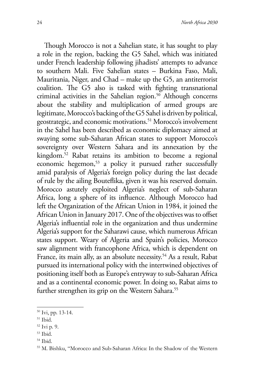Though Morocco is not a Sahelian state, it has sought to play a role in the region, backing the G5 Sahel, which was initiated under French leadership following jihadists' attempts to advance to southern Mali. Five Sahelian states – Burkina Faso, Mali, Mauritania, Niger, and Chad – make up the G5, an antiterrorist coalition. The G5 also is tasked with fighting transnational criminal activities in the Sahelian region.<sup>50</sup> Although concerns about the stability and multiplication of armed groups are legitimate, Morocco's backing of the G5 Sahel is driven by political, geostrategic, and economic motivations.51 Morocco's involvement in the Sahel has been described as economic diplomacy aimed at swaying some sub-Saharan African states to support Morocco's sovereignty over Western Sahara and its annexation by the kingdom.<sup>52</sup> Rabat retains its ambition to become a regional economic hegemon,<sup>53</sup> a policy it pursued rather successfully amid paralysis of Algeria's foreign policy during the last decade of rule by the ailing Bouteflika, given it was his reserved domain. Morocco astutely exploited Algeria's neglect of sub-Saharan Africa, long a sphere of its influence. Although Morocco had left the Organization of the African Union in 1984, it joined the African Union in January 2017. One of the objectives was to offset Algeria's influential role in the organization and thus undermine Algeria's support for the Saharawi cause, which numerous African states support. Weary of Algeria and Spain's policies, Morocco saw alignment with francophone Africa, which is dependent on France, its main ally, as an absolute necessity.<sup>54</sup> As a result, Rabat pursued its international policy with the intertwined objectives of positioning itself both as Europe's entryway to sub-Saharan Africa and as a continental economic power. In doing so, Rabat aims to further strengthen its grip on the Western Sahara.<sup>55</sup>

<sup>50</sup> Ivi, pp. 13-14.

 $51$  Ibid.

<sup>52</sup> Ivi p. 9.

<sup>53</sup> Ibid.

<sup>54</sup> Ibid.

<sup>55</sup> M. Bishku, "Morocco and Sub-Saharan Africa: In the Shadow of the Western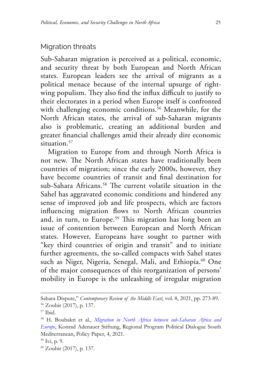#### Migration threats

Sub-Saharan migration is perceived as a political, economic, and security threat by both European and North African states. European leaders see the arrival of migrants as a political menace because of the internal upsurge of rightwing populism. They also find the influx difficult to justify to their electorates in a period when Europe itself is confronted with challenging economic conditions.<sup>56</sup> Meanwhile, for the North African states, the arrival of sub-Saharan migrants also is problematic, creating an additional burden and greater financial challenges amid their already dire economic situation.<sup>57</sup>

Migration to Europe from and through North Africa is not new. The North African states have traditionally been countries of migration; since the early 2000s, however, they have become countries of transit and final destination for sub-Sahara Africans.<sup>58</sup> The current volatile situation in the Sahel has aggravated economic conditions and hindered any sense of improved job and life prospects, which are factors influencing migration flows to North African countries and, in turn, to Europe.<sup>59</sup> This migration has long been an issue of contention between European and North African states. However, Europeans have sought to partner with "key third countries of origin and transit" and to initiate further agreements, the so-called compacts with Sahel states such as Niger, Nigeria, Senegal, Mali, and Ethiopia.<sup>60</sup> One of the major consequences of this reorganization of persons' mobility in Europe is the unleashing of irregular migration

Sahara Dispute," *Contemporary Review of the Middle East*, vol. 8, 2021, pp. 273-89. 56 Zoubir (2017), p. 137.

<sup>57</sup> Ibid.

<sup>58</sup> H. Boubakri et al., *[Migration in North Africa between sub-Saharan Africa and](https://www.kas.de/documents/282499/282548/Migration+in+North+Africa+Policy+Paper+-+English.pdf/44fc85fb-cb12-2cad-8a18-5aecd30536d1?version=1.3&t=1620657754510) [Europe](https://www.kas.de/documents/282499/282548/Migration+in+North+Africa+Policy+Paper+-+English.pdf/44fc85fb-cb12-2cad-8a18-5aecd30536d1?version=1.3&t=1620657754510)*, Konrad Adenauer Stiftung, Regional Program Political Dialogue South Mediterranean, Policy Paper, 4, 2021.

<sup>59</sup> Ivi, p. 9.

<sup>60</sup> Zoubir (2017), p. 137.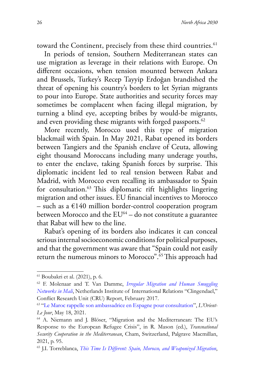toward the Continent, precisely from these third countries.<sup>61</sup>

In periods of tension, Southern Mediterranean states can use migration as leverage in their relations with Europe. On different occasions, when tension mounted between Ankara and Brussels, Turkey's Recep Tayyip Erdoğan brandished the threat of opening his country's borders to let Syrian migrants to pour into Europe. State authorities and security forces may sometimes be complacent when facing illegal migration, by turning a blind eye, accepting bribes by would-be migrants, and even providing these migrants with forged passports.<sup>62</sup>

More recently, Morocco used this type of migration blackmail with Spain. In May 2021, Rabat opened its borders between Tangiers and the Spanish enclave of Ceuta, allowing eight thousand Moroccans including many underage youths, to enter the enclave, taking Spanish forces by surprise. This diplomatic incident led to real tension between Rabat and Madrid, with Morocco even recalling its ambassador to Spain for consultation.63 This diplomatic rift highlights lingering migration and other issues. EU financial incentives to Morocco – such as a  $\epsilon$ 140 million border-control cooperation program between Morocco and the  $EU^{64}$  – do not constitute a guarantee that Rabat will hew to the line.

Rabat's opening of its borders also indicates it can conceal serious internal socioeconomic conditions for political purposes, and that the government was aware that "Spain could not easily return the numerous minors to Morocco".<sup>65</sup> This approach had

<sup>61</sup> Boubakri et al. (2021), p. 6.

<sup>62</sup> F. Molenaar and T. Van Damme, *[Irregular Migration and Human Smuggling](https://www.clingendael.org/sites/default/files/pdfs/irregular_migration_and_human_smuggling_networks_in_mali.pdf.) [Networks in Mali](https://www.clingendael.org/sites/default/files/pdfs/irregular_migration_and_human_smuggling_networks_in_mali.pdf.)*, Netherlands Institute of International Relations "Clingendael," Conflict Research Unit (CRU) Report, February 2017.

<sup>63</sup> ["Le Maroc rappelle son ambassadrice en Espagne pour consultation](https://www.lorientlejour.com/article/1262212/ceuta-le-maroc-rappelle-son-ambassadrice-en-espagne-pour-consultation-officiel.html.)", *L'Orient-Le Jour*, May 18, 2021.

<sup>64</sup> A. Niemann and J. Blöser, "Migration and the Mediterranean: The EU's Response to the European Refugee Crisis", in R. Mason (ed.), *Transnational Security Cooperation in the Mediterranean*, Cham, Switzerland, Palgrave Macmillan, 2021, p. 95.

<sup>65</sup> J.I. Torreblanca, *[This Time Is Different: Spain, Morocco, and Weaponized Migration](https://ecfr.eu/article/this-time-is-different-spain-morocco-and-weaponised-migration/)*,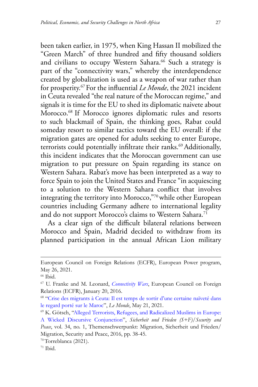been taken earlier, in 1975, when King Hassan II mobilized the "Green March" of three hundred and fifty thousand soldiers and civilians to occupy Western Sahara.<sup>66</sup> Such a strategy is part of the "connectivity wars," whereby the interdependence created by globalization is used as a weapon of war rather than for prosperity.67 For the influential *Le Monde*, the 2021 incident in Ceuta revealed "the real nature of the Moroccan regime," and signals it is time for the EU to shed its diplomatic naivete about Morocco.68 If Morocco ignores diplomatic rules and resorts to such blackmail of Spain, the thinking goes, Rabat could someday resort to similar tactics toward the EU overall: if the migration gates are opened for adults seeking to enter Europe, terrorists could potentially infiltrate their ranks.<sup>69</sup> Additionally, this incident indicates that the Moroccan government can use migration to put pressure on Spain regarding its stance on Western Sahara. Rabat's move has been interpreted as a way to force Spain to join the United States and France "in acquiescing to a solution to the Western Sahara conflict that involves integrating the territory into Morocco,"70 while other European countries including Germany adhere to international legality and do not support Morocco's claims to Western Sahara.<sup>71</sup>

As a clear sign of the difficult bilateral relations between Morocco and Spain, Madrid decided to withdraw from its planned participation in the annual African Lion military

European Council on Foreign Relations (ECFR), European Power program, May 26, 2021.

<sup>66</sup> Ibid.

<sup>67</sup> U. Franke and M. Leonard, *[Connectivity Wars](https://ecfr.eu/publication/connectivity_wars_5064/)*, European Council on Foreign Relations (ECFR), January 20, 2016.

<sup>68 &</sup>quot;[Crise des migrants à Ceuta: Il est temps de sortir d'une certaine naïveté dans](https://www.lemonde.fr/idees/article/2021/05/21/crise-des-migrants-a-ceuta-il-est-temps-de-sortir-d-une-certaine-naivete-dans-le-regard-porte-sur-le-maroc_6081001_3232.html.) [le regard porté sur le Maroc](https://www.lemonde.fr/idees/article/2021/05/21/crise-des-migrants-a-ceuta-il-est-temps-de-sortir-d-une-certaine-naivete-dans-le-regard-porte-sur-le-maroc_6081001_3232.html.)", *Le Monde*, May 21, 2021.

<sup>69</sup> K. Götsch, ["Alleged Terrorists, Refugees, and Radicalized Muslims in Europe:](https://www.nomos-elibrary.de/10.5771/0175-274X-2016-1-38.pdf?download_full_pdf=1.) [A Wicked Discursive Conjunction"](https://www.nomos-elibrary.de/10.5771/0175-274X-2016-1-38.pdf?download_full_pdf=1.), *Sicherheit und Frieden (S+F)/Security and Peace*, vol. 34, no. 1, Themenschwerpunkt: Migration, Sicherheit und Frieden/ Migration, Security and Peace, 2016, pp. 38-45.

<sup>70</sup> Torreblanca (2021).

<sup>71</sup> Ibid.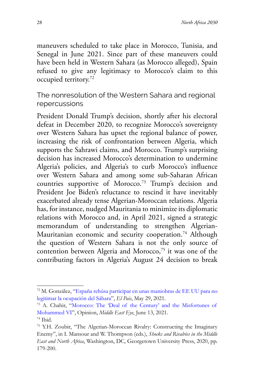maneuvers scheduled to take place in Morocco, Tunisia, and Senegal in June 2021. Since part of these maneuvers could have been held in Western Sahara (as Morocco alleged), Spain refused to give any legitimacy to Morocco's claim to this occupied territory.72

The nonresolution of the Western Sahara and regional repercussions

President Donald Trump's decision, shortly after his electoral defeat in December 2020, to recognize Morocco's sovereignty over Western Sahara has upset the regional balance of power, increasing the risk of confrontation between Algeria, which supports the Sahrawi claims, and Morocco. Trump's surprising decision has increased Morocco's determination to undermine Algeria's policies, and Algeria's to curb Morocco's influence over Western Sahara and among some sub-Saharan African countries supportive of Morocco.73 Trump's decision and President Joe Biden's reluctance to rescind it have inevitably exacerbated already tense Algerian-Moroccan relations. Algeria has, for instance, nudged Mauritania to minimize its diplomatic relations with Morocco and, in April 2021, signed a strategic memorandum of understanding to strengthen Algerian-Mauritanian economic and security cooperation.<sup>74</sup> Although the question of Western Sahara is not the only source of contention between Algeria and Morocco,<sup>75</sup> it was one of the contributing factors in Algeria's August 24 decision to break

<sup>72</sup> M. González, ["España rehúsa participar en unas maniobras de EE UU para no](https://elpais.com/espana/2021-05-29/espana-rehusa-participar-en-unas-maniobras-de-ee-uu-para-no-legitimar-la-ocupacion-del-sahara.html) [legitimar la ocupación del Sáhara"](https://elpais.com/espana/2021-05-29/espana-rehusa-participar-en-unas-maniobras-de-ee-uu-para-no-legitimar-la-ocupacion-del-sahara.html), *El Pais*, May 29, 2021.

<sup>73</sup> A. Chahir, ["Morocco: The 'Deal of the Century' and the Misfortunes of](https://www.middleeasteye.net/opinion/morocco-israel-western-sahara-deal-century-mohammed-vi.) [Mohammed VI"](https://www.middleeasteye.net/opinion/morocco-israel-western-sahara-deal-century-mohammed-vi.), Opinion, *Middle East Eye*, June 13, 2021.

<sup>74</sup> Ibid.

<sup>75</sup> Y.H. Zoubir, "The Algerian-Moroccan Rivalry: Constructing the Imaginary Enemy", in I. Mansour and W. Thompson (eds.), *Shocks and Rivalries in the Middle East and North Africa*, Washington, DC, Georgetown University Press, 2020, pp. 179-200.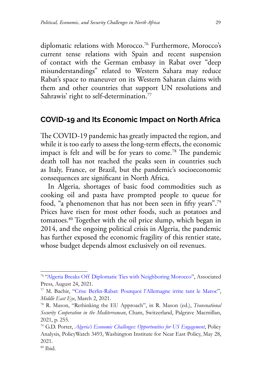diplomatic relations with Morocco.<sup>76</sup> Furthermore, Morocco's current tense relations with Spain and recent suspension of contact with the German embassy in Rabat over "deep misunderstandings" related to Western Sahara may reduce Rabat's space to maneuver on its Western Saharan claims with them and other countries that support UN resolutions and Sahrawis' right to self-determination.<sup>77</sup>

#### **COVID-19 and Its Economic Impact on North Africa**

The COVID-19 pandemic has greatly impacted the region, and while it is too early to assess the long-term effects, the economic impact is felt and will be for years to come.<sup>78</sup> The pandemic death toll has not reached the peaks seen in countries such as Italy, France, or Brazil, but the pandemic's socioeconomic consequences are significant in North Africa.

In Algeria, shortages of basic food commodities such as cooking oil and pasta have prompted people to queue for food, "a phenomenon that has not been seen in fifty years".79 Prices have risen for most other foods, such as potatoes and tomatoes.80 Together with the oil price slump, which began in 2014, and the ongoing political crisis in Algeria, the pandemic has further exposed the economic fragility of this rentier state, whose budget depends almost exclusively on oil revenues.

<sup>76</sup> ["Algeria Breaks Off Diplomatic Ties with Neighboring Morocco](https://apnews.com/article/africa-algeria-morocco-9eff366c7de2783f5f63efa03e026720)", Associated Press, August 24, 2021.

<sup>77</sup> M. Bachir, ["Crise Berlin-Rabat: Pourquoi l'Allemagne irrite tant le Maroc](https://www.middleeasteye.net/fr/actu-et-enquetes/maroc-allemagne-crise-diplomatie-sahara-occidental-libye-ingerence.)", *Middle East Eye*, March 2, 2021.

<sup>78</sup> R. Mason, "Rethinking the EU Approach", in R. Mason (ed.), *Transnational Security Cooperation in the Mediterranean*, Cham, Switzerland, Palgrave Macmillan, 2021, p. 255.

<sup>79</sup> G.D. Porter, *[Algeria's Economic Challenges: Opportunities for US Engagement](https://www.washingtoninstitute.org/policy-analysis/algerias-economic-challenges-opportunities-us-engagement.)*, Policy Analysis, PolicyWatch 3493, Washington Institute for Near East Policy, May 28, 2021.

 $80$  Ibid.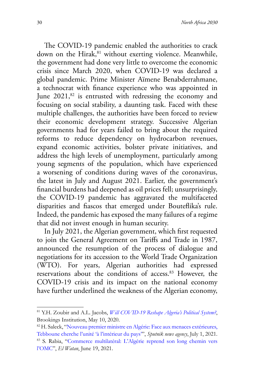The COVID-19 pandemic enabled the authorities to crack down on the Hirak,<sup>81</sup> without exerting violence. Meanwhile, the government had done very little to overcome the economic crisis since March 2020, when COVID-19 was declared a global pandemic. Prime Minister Aïmene Benabderrahmane, a technocrat with finance experience who was appointed in June  $2021$ , $82$  is entrusted with redressing the economy and focusing on social stability, a daunting task. Faced with these multiple challenges, the authorities have been forced to review their economic development strategy. Successive Algerian governments had for years failed to bring about the required reforms to reduce dependency on hydrocarbon revenues, expand economic activities, bolster private initiatives, and address the high levels of unemployment, particularly among young segments of the population, which have experienced a worsening of conditions during waves of the coronavirus, the latest in July and August 2021. Earlier, the government's financial burdens had deepened as oil prices fell; unsurprisingly, the COVID-19 pandemic has aggravated the multifaceted disparities and fiascos that emerged under Bouteflika's rule. Indeed, the pandemic has exposed the many failures of a regime that did not invest enough in human security.

In July 2021, the Algerian government, which first requested to join the General Agreement on Tariffs and Trade in 1987, announced the resumption of the process of dialogue and negotiations for its accession to the World Trade Organization (WTO). For years, Algerian authorities had expressed reservations about the conditions of access.<sup>83</sup> However, the COVID-19 crisis and its impact on the national economy have further underlined the weakness of the Algerian economy,

<sup>81</sup> Y.H. Zoubir and A.L. Jacobs, *[Will COVID-19 Reshape Algeria's Political System?](https://www.brookings.edu/opinions/will-covid-19-reshape-algerias-political-system/)*, Brookings Institution, May 10, 2020.

<sup>82</sup> H. Saleck, "[Nouveau premier ministre en Algérie: Face aux menaces extérieures,](https://fr.sputniknews.com/international/202107011045820527-nouveau-premier-ministre-en-algerie-face-aux-menaces-exterieures-tebboune-cherche-lunite-a/) [Tebboune cherche l'unité 'à l'intérieur du pays'](https://fr.sputniknews.com/international/202107011045820527-nouveau-premier-ministre-en-algerie-face-aux-menaces-exterieures-tebboune-cherche-lunite-a/)", *Sputnik news agency*, July 1, 2021. 83 S. Rabia, "[Commerce multilatéral: L'Algérie reprend son long chemin vers](https://www.elwatan.com/edition/economie/lalgerie-reprend-son-long-chemin-vers-lomc-19-06-2021.) [l'OMC"](https://www.elwatan.com/edition/economie/lalgerie-reprend-son-long-chemin-vers-lomc-19-06-2021.), *El Watan*, June 19, 2021.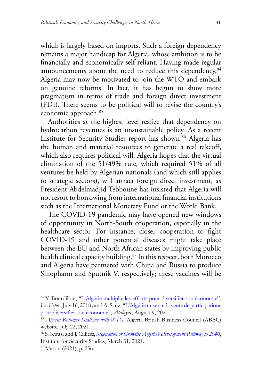which is largely based on imports. Such a foreign dependency remains a major handicap for Algeria, whose ambition is to be financially and economically self-reliant. Having made regular announcements about the need to reduce this dependency, 84 Algeria may now be motivated to join the WTO and embark on genuine reforms. In fact, it has begun to show more pragmatism in terms of trade and foreign direct investment (FDI). There seems to be political will to revise the country's economic approach.85

Authorities at the highest level realize that dependency on hydrocarbon revenues is an unsustainable policy. As a recent Institute for Security Studies report has shown,<sup>86</sup> Algeria has the human and material resources to generate a real takeoff, which also requires political will. Algeria hopes that the virtual elimination of the 51/49% rule, which required 51% of all ventures be held by Algerian nationals (and which still applies to strategic sectors), will attract foreign direct investment, as President Abdelmadjid Tebboune has insisted that Algeria will not resort to borrowing from international financial institutions such as the International Monetary Fund or the World Bank.

The COVID-19 pandemic may have opened new windows of opportunity in North-South cooperation, especially in the healthcare sector. For instance, closer cooperation to fight COVID-19 and other potential diseases might take place between the EU and North African states by improving public health clinical capacity building.<sup>87</sup> In this respect, both Morocco and Algeria have partnered with China and Russia to produce Sinopharm and Sputnik V, respectively; these vaccines will be

<sup>84</sup> Y. Bourdillon, "[L'Algérie multiplie les efforts pour diversifier son économie](https://www.lesechos.fr/2018/07/lalgerie-multiplie-les-efforts-pour-diversifier-son-economie-998144)", *Les Echos*, July 16, 2018 ; and A. Sanz, "[L'Algérie mise sur la vente de participations](https://atalayar.com/fr/content/lalg%C3%A9rie-mise-sur-la-vente-de-participations-pour-diversifier-son-%C3%A9conomie.) [pour diversifier son économie](https://atalayar.com/fr/content/lalg%C3%A9rie-mise-sur-la-vente-de-participations-pour-diversifier-son-%C3%A9conomie.)", *Atalayar*, August 9, 2021.

<sup>85</sup> *[Algeria Resumes Dialogue with WTO](https://www.abbc.org.uk/2021/07/)*, Algeria British Business Council (ABBC) website, July 22, 2021.

<sup>86</sup> S. Kwasi and J. Cilliers, *[Stagnation or Growth? Algeria's Development Pathway to 2040](https://issafrica.org/research/north-africa-report/stagnation-or-growth-algerias-development-pathway-to-2040.)*, Institute for Security Studies, March 31, 2021.

<sup>87</sup> Mason (2021), p. 256.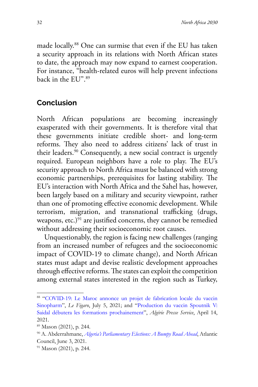made locally.88 One can surmise that even if the EU has taken a security approach in its relations with North African states to date, the approach may now expand to earnest cooperation. For instance, "health-related euros will help prevent infections back in the EU" 89

# **Conclusion**

North African populations are becoming increasingly exasperated with their governments. It is therefore vital that these governments initiate credible short- and long-term reforms. They also need to address citizens' lack of trust in their leaders.90 Consequently, a new social contract is urgently required. European neighbors have a role to play. The EU's security approach to North Africa must be balanced with strong economic partnerships, prerequisites for lasting stability. The EU's interaction with North Africa and the Sahel has, however, been largely based on a military and security viewpoint, rather than one of promoting effective economic development. While terrorism, migration, and transnational trafficking (drugs, weapons, etc.) $91$  are justified concerns, they cannot be remedied without addressing their socioeconomic root causes.

Unquestionably, the region is facing new challenges (ranging from an increased number of refugees and the socioeconomic impact of COVID-19 to climate change), and North African states must adapt and devise realistic development approaches through effective reforms. The states can exploit the competition among external states interested in the region such as Turkey,

<sup>88</sup> ["COVID-19: Le Maroc annonce un projet de fabrication locale du vaccin](https://www.lefigaro.fr/flash-eco/covid-19-le-maroc-annonce-un-projet-de-fabrication-locale-du-vaccin-sinopharm-20210705) [Sinopharm](https://www.lefigaro.fr/flash-eco/covid-19-le-maroc-annonce-un-projet-de-fabrication-locale-du-vaccin-sinopharm-20210705)", *Le Figaro*, July 5, 2021; and ["Production du vaccin Spoutnik V:](https://www.aps.dz/sante-science-technologie/120536-production-du-vaccin-spoutnik-v-saidal-debutera-les-formations-prochainement.) [Saidal débutera les formations prochainement"](https://www.aps.dz/sante-science-technologie/120536-production-du-vaccin-spoutnik-v-saidal-debutera-les-formations-prochainement.), *Algérie Presse Service*, April 14, 2021.

<sup>89</sup> Mason (2021), p. 244.

<sup>90</sup> A. Abderrahmane, *[Algeria's Parliamentary Elections: A Bumpy Road Ahead](https://www.atlanticcouncil.org/blogs/menasource/algerias-parliamentary-elections-a-bumpy-road-ahead/)*, Atlantic Council, June 3, 2021.

 $91$  Mason (2021), p. 244.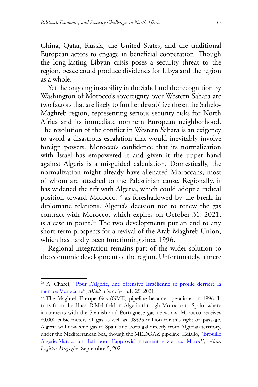China, Qatar, Russia, the United States, and the traditional European actors to engage in beneficial cooperation. Though the long-lasting Libyan crisis poses a security threat to the region, peace could produce dividends for Libya and the region as a whole.

Yet the ongoing instability in the Sahel and the recognition by Washington of Morocco's sovereignty over Western Sahara are two factors that are likely to further destabilize the entire Sahelo-Maghreb region, representing serious security risks for North Africa and its immediate northern European neighborhood. The resolution of the conflict in Western Sahara is an exigency to avoid a disastrous escalation that would inevitably involve foreign powers. Morocco's confidence that its normalization with Israel has empowered it and given it the upper hand against Algeria is a misguided calculation. Domestically, the normalization might already have alienated Moroccans, most of whom are attached to the Palestinian cause. Regionally, it has widened the rift with Algeria, which could adopt a radical position toward Morocco,<sup>92</sup> as foreshadowed by the break in diplomatic relations. Algeria's decision not to renew the gas contract with Morocco, which expires on October 31, 2021, is a case in point. $93$  The two developments put an end to any short-term prospects for a revival of the Arab Maghreb Union, which has hardly been functioning since 1996.

Regional integration remains part of the wider solution to the economic development of the region. Unfortunately, a mere

<sup>92</sup> A. Charef, "[Pour l'Algérie, une offensive Israélienne se profile derrière la](https://www.middleeasteye.net/fr/opinion-fr/algerie-maroc-pegasus-israel-normalisation-diplomatie-menace-offensive.) [menace Marocaine"](https://www.middleeasteye.net/fr/opinion-fr/algerie-maroc-pegasus-israel-normalisation-diplomatie-menace-offensive.), *Middle East Eye*, July 25, 2021.

<sup>&</sup>lt;sup>93</sup> The Maghreb-Europe Gas (GME) pipeline became operational in 1996. It runs from the Hassi R'Mel field in Algeria through Morocco to Spain, where it connects with the Spanish and Portuguese gas networks. Morocco receives 80,000 cubic meters of gas as well as US\$35 million for this right of passage. Algeria will now ship gas to Spain and Portugal directly from Algerian territory, under the Mediterranean Sea, though the MEDGAZ pipeline. Ediallo, "[Brouille](https://www.africalogisticsmagazine.com/?q=fr/content/brouille-maroc-algerie-un-defi-pour-lapprovisionnement-gazier-du-royaume.) [Algérie-Maroc: un defi pour l'approvisionnement gazier au Maroc](https://www.africalogisticsmagazine.com/?q=fr/content/brouille-maroc-algerie-un-defi-pour-lapprovisionnement-gazier-du-royaume.)", *Africa Logistics Magazine*, Septembre 5, 2021.